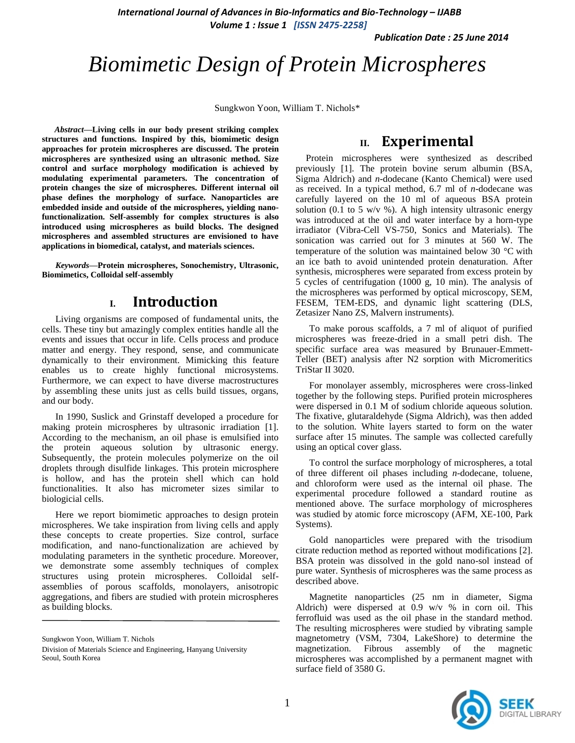*International Journal of Advances in Bio-Informatics and Bio-Technology – IJABB Volume 1 : Issue 1 [ISSN 2475-2258]*

*Publication Date : 25 June 2014*

# *Biomimetic Design of Protein Microspheres*

Sungkwon Yoon, William T. Nichols\*

*Abstract***—Living cells in our body present striking complex structures and functions. Inspired by this, biomimetic design approaches for protein microspheres are discussed. The protein microspheres are synthesized using an ultrasonic method. Size control and surface morphology modification is achieved by modulating experimental parameters. The concentration of protein changes the size of microspheres. Different internal oil phase defines the morphology of surface. Nanoparticles are embedded inside and outside of the microspheres, yielding nanofunctionalization. Self-assembly for complex structures is also introduced using microspheres as build blocks. The designed microspheres and assembled structures are envisioned to have applications in biomedical, catalyst, and materials sciences.**

*Keywords—***Protein microspheres, Sonochemistry, Ultrasonic, Biomimetics, Colloidal self-assembly**

## **I. Introduction**

Living organisms are composed of fundamental units, the cells. These tiny but amazingly complex entities handle all the events and issues that occur in life. Cells process and produce matter and energy. They respond, sense, and communicate dynamically to their environment. Mimicking this feature enables us to create highly functional microsystems. Furthermore, we can expect to have diverse macrostructures by assembling these units just as cells build tissues, organs, and our body.

In 1990, Suslick and Grinstaff developed a procedure for making protein microspheres by ultrasonic irradiation [1]. According to the mechanism, an oil phase is emulsified into the protein aqueous solution by ultrasonic energy. Subsequently, the protein molecules polymerize on the oil droplets through disulfide linkages. This protein microsphere is hollow, and has the protein shell which can hold functionalities. It also has micrometer sizes similar to biologicial cells.

Here we report biomimetic approaches to design protein microspheres. We take inspiration from living cells and apply these concepts to create properties. Size control, surface modification, and nano-functionalization are achieved by modulating parameters in the synthetic procedure. Moreover, we demonstrate some assembly techniques of complex structures using protein microspheres. Colloidal selfassemblies of porous scaffolds, monolayers, anisotropic aggregations, and fibers are studied with protein microspheres as building blocks.

Sungkwon Yoon, William T. Nichols

## **II. Experimental**

Protein microspheres were synthesized as described previously [1]. The protein bovine serum albumin (BSA, Sigma Aldrich) and *n*-dodecane (Kanto Chemical) were used as received. In a typical method, 6.7 ml of *n*-dodecane was carefully layered on the 10 ml of aqueous BSA protein solution (0.1 to 5 w/v %). A high intensity ultrasonic energy was introduced at the oil and water interface by a horn-type irradiator (Vibra-Cell VS-750, Sonics and Materials). The sonication was carried out for 3 minutes at 560 W. The temperature of the solution was maintained below 30 °C with an ice bath to avoid unintended protein denaturation. After synthesis, microspheres were separated from excess protein by 5 cycles of centrifugation (1000 g, 10 min). The analysis of the microspheres was performed by optical microscopy, SEM, FESEM, TEM-EDS, and dynamic light scattering (DLS, Zetasizer Nano ZS, Malvern instruments).

To make porous scaffolds, a 7 ml of aliquot of purified microspheres was freeze-dried in a small petri dish. The specific surface area was measured by Brunauer-Emmett-Teller (BET) analysis after N2 sorption with Micromeritics TriStar II 3020.

For monolayer assembly, microspheres were cross-linked together by the following steps. Purified protein microspheres were dispersed in 0.1 M of sodium chloride aqueous solution. The fixative, glutaraldehyde (Sigma Aldrich), was then added to the solution. White layers started to form on the water surface after 15 minutes. The sample was collected carefully using an optical cover glass.

To control the surface morphology of microspheres, a total of three different oil phases including *n*-dodecane, toluene, and chloroform were used as the internal oil phase. The experimental procedure followed a standard routine as mentioned above. The surface morphology of microspheres was studied by atomic force microscopy (AFM, XE-100, Park Systems).

Gold nanoparticles were prepared with the trisodium citrate reduction method as reported without modifications [2]. BSA protein was dissolved in the gold nano-sol instead of pure water. Synthesis of microspheres was the same process as described above.

Magnetite nanoparticles (25 nm in diameter, Sigma Aldrich) were dispersed at 0.9 w/v % in corn oil. This ferrofluid was used as the oil phase in the standard method. The resulting microspheres were studied by vibrating sample magnetometry (VSM, 7304, LakeShore) to determine the magnetization. Fibrous assembly of the magnetic microspheres was accomplished by a permanent magnet with surface field of 3580 G.



Division of Materials Science and Engineering, Hanyang University Seoul, South Korea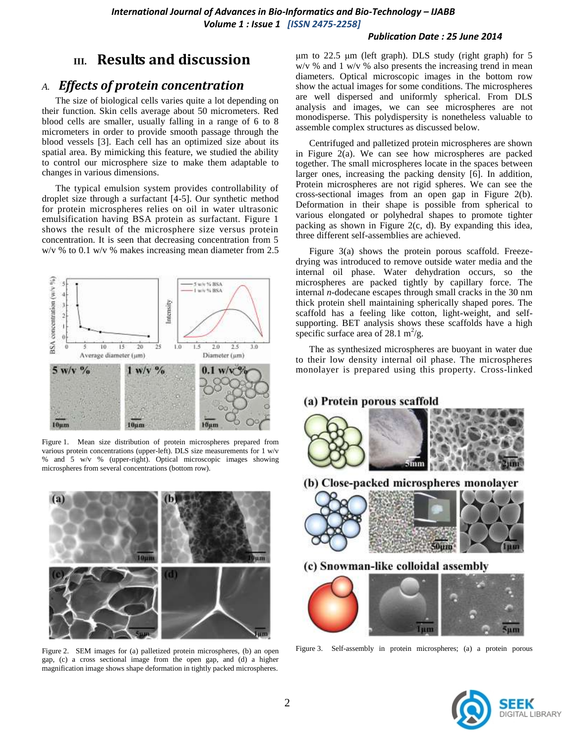#### *Publication Date : 25 June 2014*

# **III. Results and discussion**

### *A. Effects of protein concentration*

The size of biological cells varies quite a lot depending on their function. Skin cells average about 50 micrometers. Red blood cells are smaller, usually falling in a range of 6 to 8 micrometers in order to provide smooth passage through the blood vessels [3]. Each cell has an optimized size about its spatial area. By mimicking this feature, we studied the ability to control our microsphere size to make them adaptable to changes in various dimensions.

The typical emulsion system provides controllability of droplet size through a surfactant [4-5]. Our synthetic method for protein microspheres relies on oil in water ultrasonic emulsification having BSA protein as surfactant. Figure 1 shows the result of the microsphere size versus protein concentration. It is seen that decreasing concentration from 5 w/v % to 0.1 w/v % makes increasing mean diameter from 2.5



Figure 1. Mean size distribution of protein microspheres prepared from various protein concentrations (upper-left). DLS size measurements for 1 w/v % and 5 w/v % (upper-right). Optical microscopic images showing microspheres from several concentrations (bottom row).



Figure 2. SEM images for (a) palletized protein microspheres, (b) an open gap, (c) a cross sectional image from the open gap, and (d) a higher magnification image shows shape deformation in tightly packed microspheres.

μm to 22.5 μm (left graph). DLS study (right graph) for 5 w/v % and 1 w/v % also presents the increasing trend in mean diameters. Optical microscopic images in the bottom row show the actual images for some conditions. The microspheres are well dispersed and uniformly spherical. From DLS analysis and images, we can see microspheres are not monodisperse. This polydispersity is nonetheless valuable to assemble complex structures as discussed below.

Centrifuged and palletized protein microspheres are shown in Figure 2(a). We can see how microspheres are packed together. The small microspheres locate in the spaces between larger ones, increasing the packing density [6]. In addition, Protein microspheres are not rigid spheres. We can see the cross-sectional images from an open gap in Figure 2(b). Deformation in their shape is possible from spherical to various elongated or polyhedral shapes to promote tighter packing as shown in Figure 2(c, d). By expanding this idea, three different self-assemblies are achieved.

Figure 3(a) shows the protein porous scaffold. Freezedrying was introduced to remove outside water media and the internal oil phase. Water dehydration occurs, so the microspheres are packed tightly by capillary force. The internal *n*-dodecane escapes through small cracks in the 30 nm thick protein shell maintaining spherically shaped pores. The scaffold has a feeling like cotton, light-weight, and selfsupporting. BET analysis shows these scaffolds have a high specific surface area of 28.1 m<sup>2</sup>/g.

The as synthesized microspheres are buoyant in water due to their low density internal oil phase. The microspheres monolayer is prepared using this property. Cross-linked

#### (a) Protein porous scaffold



(b) Close-packed microspheres monolayer



(c) Snowman-like colloidal assembly



Figure 3. Self-assembly in protein microspheres; (a) a protein porous

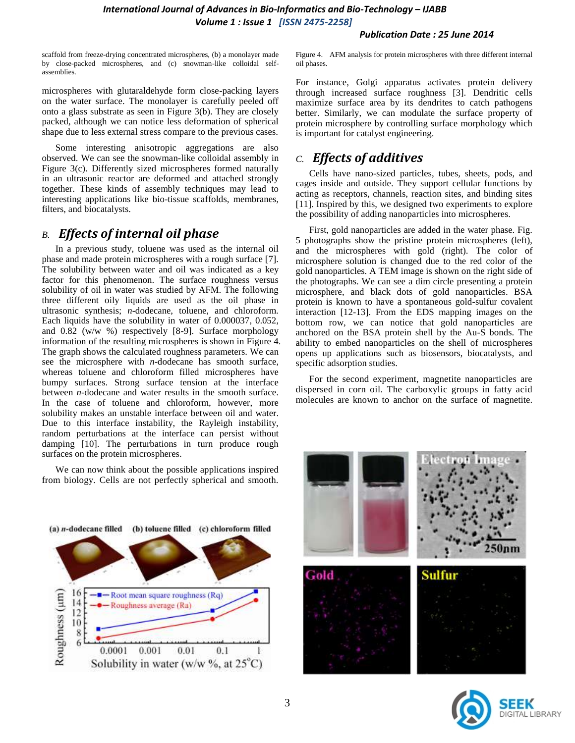### *International Journal of Advances in Bio-Informatics and Bio-Technology – IJABB Volume 1 : Issue 1 [ISSN 2475-2258]*

#### *Publication Date : 25 June 2014*

scaffold from freeze-drying concentrated microspheres, (b) a monolayer made by close-packed microspheres, and (c) snowman-like colloidal selfassemblies.

microspheres with glutaraldehyde form close-packing layers on the water surface. The monolayer is carefully peeled off onto a glass substrate as seen in Figure 3(b). They are closely packed, although we can notice less deformation of spherical shape due to less external stress compare to the previous cases.

Some interesting anisotropic aggregations are also observed. We can see the snowman-like colloidal assembly in Figure 3(c). Differently sized microspheres formed naturally in an ultrasonic reactor are deformed and attached strongly together. These kinds of assembly techniques may lead to interesting applications like bio-tissue scaffolds, membranes, filters, and biocatalysts.

## *B. Effects of internal oil phase*

In a previous study, toluene was used as the internal oil phase and made protein microspheres with a rough surface [7]. The solubility between water and oil was indicated as a key factor for this phenomenon. The surface roughness versus solubility of oil in water was studied by AFM. The following three different oily liquids are used as the oil phase in ultrasonic synthesis; *n*-dodecane, toluene, and chloroform. Each liquids have the solubility in water of 0.000037, 0.052, and 0.82 (w/w %) respectively [8-9]. Surface morphology information of the resulting microspheres is shown in Figure 4. The graph shows the calculated roughness parameters. We can see the microsphere with *n*-dodecane has smooth surface, whereas toluene and chloroform filled microspheres have bumpy surfaces. Strong surface tension at the interface between *n*-dodecane and water results in the smooth surface. In the case of toluene and chloroform, however, more solubility makes an unstable interface between oil and water. Due to this interface instability, the Rayleigh instability, random perturbations at the interface can persist without damping [10]. The perturbations in turn produce rough surfaces on the protein microspheres.

We can now think about the possible applications inspired from biology. Cells are not perfectly spherical and smooth. Figure 4. AFM analysis for protein microspheres with three different internal oil phases.

For instance, Golgi apparatus activates protein delivery through increased surface roughness [3]. Dendritic cells maximize surface area by its dendrites to catch pathogens better. Similarly, we can modulate the surface property of protein microsphere by controlling surface morphology which is important for catalyst engineering.

## *C. Effects of additives*

Cells have nano-sized particles, tubes, sheets, pods, and cages inside and outside. They support cellular functions by acting as receptors, channels, reaction sites, and binding sites [11]. Inspired by this, we designed two experiments to explore the possibility of adding nanoparticles into microspheres.

First, gold nanoparticles are added in the water phase. Fig. 5 photographs show the pristine protein microspheres (left), and the microspheres with gold (right). The color of microsphere solution is changed due to the red color of the gold nanoparticles. A TEM image is shown on the right side of the photographs. We can see a dim circle presenting a protein microsphere, and black dots of gold nanoparticles. BSA protein is known to have a spontaneous gold-sulfur covalent interaction [12-13]. From the EDS mapping images on the bottom row, we can notice that gold nanoparticles are anchored on the BSA protein shell by the Au-S bonds. The ability to embed nanoparticles on the shell of microspheres opens up applications such as biosensors, biocatalysts, and specific adsorption studies.

For the second experiment, magnetite nanoparticles are dispersed in corn oil. The carboxylic groups in fatty acid molecules are known to anchor on the surface of magnetite.





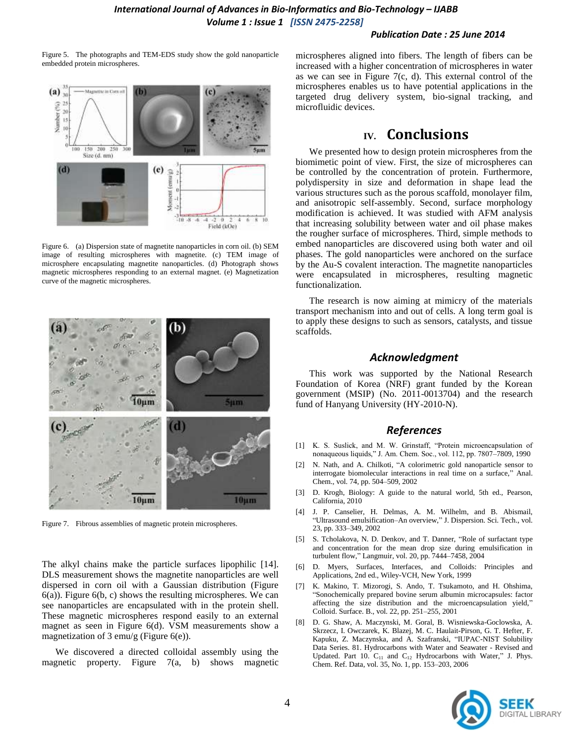#### *Publication Date : 25 June 2014*

Figure 5. The photographs and TEM-EDS study show the gold nanoparticle embedded protein microspheres.



Figure 6. (a) Dispersion state of magnetite nanoparticles in corn oil. (b) SEM image of resulting microspheres with magnetite. (c) TEM image of microsphere encapsulating magnetite nanoparticles. (d) Photograph shows magnetic microspheres responding to an external magnet. (e) Magnetization curve of the magnetic microspheres.



Figure 7. Fibrous assemblies of magnetic protein microspheres.

The alkyl chains make the particle surfaces lipophilic [14]. DLS measurement shows the magnetite nanoparticles are well dispersed in corn oil with a Gaussian distribution (Figure 6(a)). Figure 6(b, c) shows the resulting microspheres. We can see nanoparticles are encapsulated with in the protein shell. These magnetic microspheres respond easily to an external magnet as seen in Figure 6(d). VSM measurements show a magnetization of 3 emu/g (Figure 6(e)).

We discovered a directed colloidal assembly using the magnetic property. Figure 7(a, b) shows magnetic microspheres aligned into fibers. The length of fibers can be increased with a higher concentration of microspheres in water as we can see in Figure 7(c, d). This external control of the microspheres enables us to have potential applications in the targeted drug delivery system, bio-signal tracking, and microfluidic devices.

# **IV. Conclusions**

We presented how to design protein microspheres from the biomimetic point of view. First, the size of microspheres can be controlled by the concentration of protein. Furthermore, polydispersity in size and deformation in shape lead the various structures such as the porous scaffold, monolayer film, and anisotropic self-assembly. Second, surface morphology modification is achieved. It was studied with AFM analysis that increasing solubility between water and oil phase makes the rougher surface of microspheres. Third, simple methods to embed nanoparticles are discovered using both water and oil phases. The gold nanoparticles were anchored on the surface by the Au-S covalent interaction. The magnetite nanoparticles were encapsulated in microspheres, resulting magnetic functionalization.

The research is now aiming at mimicry of the materials transport mechanism into and out of cells. A long term goal is to apply these designs to such as sensors, catalysts, and tissue scaffolds.

#### *Acknowledgment*

This work was supported by the National Research Foundation of Korea (NRF) grant funded by the Korean government (MSIP) (No. 2011-0013704) and the research fund of Hanyang University (HY-2010-N).

#### *References*

- [1] K. S. Suslick, and M. W. Grinstaff, "Protein microencapsulation of nonaqueous liquids," J. Am. Chem. Soc., vol. 112, pp. 7807–7809, 1990
- [2] N. Nath, and A. Chilkoti, "A colorimetric gold nanoparticle sensor to interrogate biomolecular interactions in real time on a surface," Anal. Chem., vol. 74, pp. 504–509, 2002
- [3] D. Krogh, Biology: A guide to the natural world, 5th ed., Pearson, California, 2010
- [4] J. P. Canselier, H. Delmas, A. M. Wilhelm, and B. Abismail, "Ultrasound emulsification–An overview," J. Dispersion. Sci. Tech., vol. 23, pp. 333–349, 2002
- [5] S. Tcholakova, N. D. Denkov, and T. Danner, "Role of surfactant type and concentration for the mean drop size during emulsification in turbulent flow," Langmuir, vol. 20, pp. 7444–7458, 2004
- [6] D. Myers, Surfaces, Interfaces, and Colloids: Principles and Applications, 2nd ed., Wiley-VCH, New York, 1999
- [7] K. Makino, T. Mizorogi, S. Ando, T. Tsukamoto, and H. Ohshima, "Sonochemically prepared bovine serum albumin microcapsules: factor affecting the size distribution and the microencapsulation yield," Colloid. Surface. B., vol. 22, pp. 251–255, 2001
- [8] D. G. Shaw, A. Maczynski, M. Goral, B. Wisniewska-Goclowska, A. Skrzecz, I. Owczarek, K. Blazej, M. C. Haulait-Pirson, G. T. Hefter, F. Kapuku, Z. Maczynska, and A. Szafranski, "IUPAC-NIST Solubility Data Series. 81. Hydrocarbons with Water and Seawater - Revised and Updated. Part 10.  $C_{11}$  and  $C_{12}$  Hydrocarbons with Water," J. Phys. Chem. Ref. Data, vol. 35, No. 1, pp. 153–203, 2006